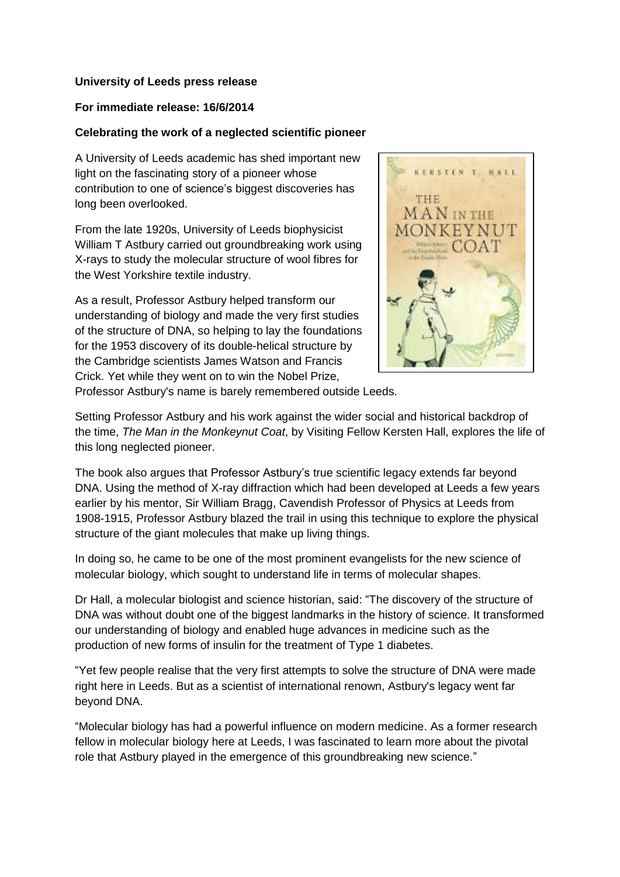## **University of Leeds press release**

## **For immediate release: 16/6/2014**

## **Celebrating the work of a neglected scientific pioneer**

A University of Leeds academic has shed important new light on the fascinating story of a pioneer whose contribution to one of science's biggest discoveries has long been overlooked.

From the late 1920s, University of Leeds biophysicist William T Astbury carried out groundbreaking work using X-rays to study the molecular structure of wool fibres for the West Yorkshire textile industry.

As a result, Professor Astbury helped transform our understanding of biology and made the very first studies of the structure of DNA, so helping to lay the foundations for the 1953 discovery of its double-helical structure by the Cambridge scientists James Watson and Francis Crick. Yet while they went on to win the Nobel Prize,



Professor Astbury's name is barely remembered outside Leeds.

Setting Professor Astbury and his work against the wider social and historical backdrop of the time, *The Man in the Monkeynut Coat*, by Visiting Fellow Kersten Hall, explores the life of this long neglected pioneer.

The book also argues that Professor Astbury's true scientific legacy extends far beyond DNA. Using the method of X-ray diffraction which had been developed at Leeds a few years earlier by his mentor, Sir William Bragg, Cavendish Professor of Physics at Leeds from 1908-1915, Professor Astbury blazed the trail in using this technique to explore the physical structure of the giant molecules that make up living things.

In doing so, he came to be one of the most prominent evangelists for the new science of molecular biology, which sought to understand life in terms of molecular shapes.

Dr Hall, a molecular biologist and science historian, said: "The discovery of the structure of DNA was without doubt one of the biggest landmarks in the history of science. It transformed our understanding of biology and enabled huge advances in medicine such as the production of new forms of insulin for the treatment of Type 1 diabetes.

"Yet few people realise that the very first attempts to solve the structure of DNA were made right here in Leeds. But as a scientist of international renown, Astbury's legacy went far beyond DNA.

"Molecular biology has had a powerful influence on modern medicine. As a former research fellow in molecular biology here at Leeds, I was fascinated to learn more about the pivotal role that Astbury played in the emergence of this groundbreaking new science."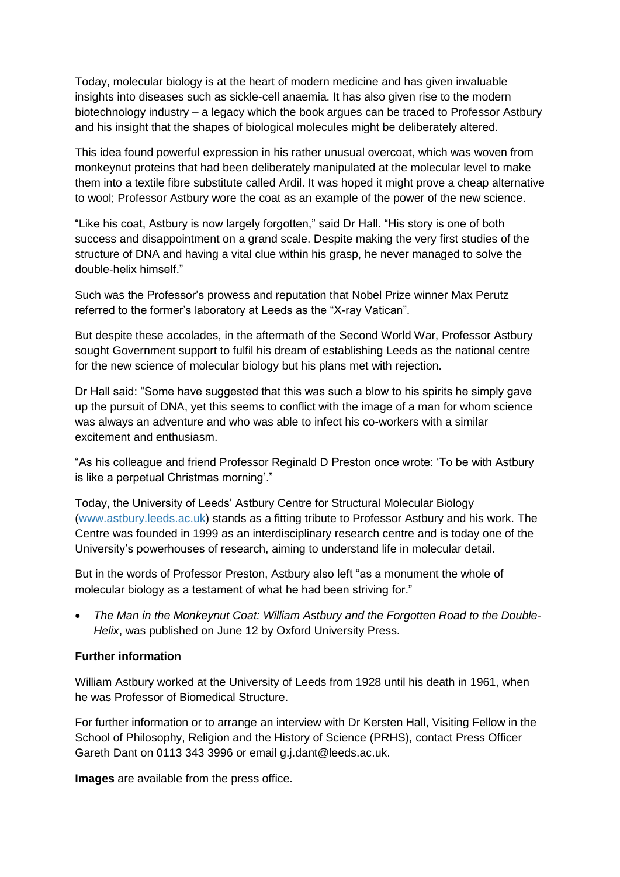Today, molecular biology is at the heart of modern medicine and has given invaluable insights into diseases such as sickle-cell anaemia. It has also given rise to the modern biotechnology industry – a legacy which the book argues can be traced to Professor Astbury and his insight that the shapes of biological molecules might be deliberately altered.

This idea found powerful expression in his rather unusual overcoat, which was woven from monkeynut proteins that had been deliberately manipulated at the molecular level to make them into a textile fibre substitute called Ardil. It was hoped it might prove a cheap alternative to wool; Professor Astbury wore the coat as an example of the power of the new science.

"Like his coat, Astbury is now largely forgotten," said Dr Hall. "His story is one of both success and disappointment on a grand scale. Despite making the very first studies of the structure of DNA and having a vital clue within his grasp, he never managed to solve the double-helix himself."

Such was the Professor's prowess and reputation that Nobel Prize winner Max Perutz referred to the former's laboratory at Leeds as the "X-ray Vatican".

But despite these accolades, in the aftermath of the Second World War, Professor Astbury sought Government support to fulfil his dream of establishing Leeds as the national centre for the new science of molecular biology but his plans met with rejection.

Dr Hall said: "Some have suggested that this was such a blow to his spirits he simply gave up the pursuit of DNA, yet this seems to conflict with the image of a man for whom science was always an adventure and who was able to infect his co-workers with a similar excitement and enthusiasm.

"As his colleague and friend Professor Reginald D Preston once wrote: 'To be with Astbury is like a perpetual Christmas morning'."

Today, the University of Leeds' Astbury Centre for Structural Molecular Biology [\(www.astbury.leeds.ac.uk\)](http://www.astbury.leeds.ac.uk/) stands as a fitting tribute to Professor Astbury and his work. The Centre was founded in 1999 as an interdisciplinary research centre and is today one of the University's powerhouses of research, aiming to understand life in molecular detail.

But in the words of Professor Preston, Astbury also left "as a monument the whole of molecular biology as a testament of what he had been striving for."

 *The Man in the Monkeynut Coat: William Astbury and the Forgotten Road to the Double-Helix*, was published on June 12 by Oxford University Press.

# **Further information**

William Astbury worked at the University of Leeds from 1928 until his death in 1961, when he was Professor of Biomedical Structure.

For further information or to arrange an interview with Dr Kersten Hall, Visiting Fellow in the School of Philosophy, Religion and the History of Science (PRHS), contact Press Officer Gareth Dant on 0113 343 3996 or email g.j.dant@leeds.ac.uk.

**Images** are available from the press office.